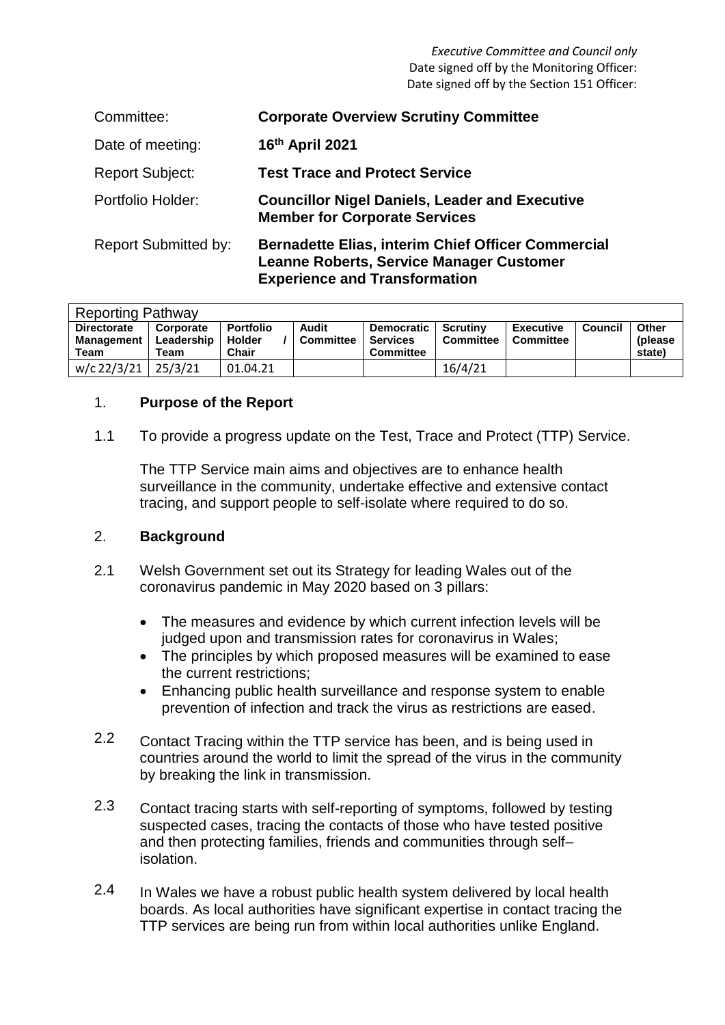*Executive Committee and Council only* Date signed off by the Monitoring Officer: Date signed off by the Section 151 Officer:

| Committee:                  | <b>Corporate Overview Scrutiny Committee</b>                                                                                                  |
|-----------------------------|-----------------------------------------------------------------------------------------------------------------------------------------------|
| Date of meeting:            | 16th April 2021                                                                                                                               |
| <b>Report Subject:</b>      | <b>Test Trace and Protect Service</b>                                                                                                         |
| Portfolio Holder:           | <b>Councillor Nigel Daniels, Leader and Executive</b><br><b>Member for Corporate Services</b>                                                 |
| <b>Report Submitted by:</b> | <b>Bernadette Elias, interim Chief Officer Commercial</b><br>Leanne Roberts, Service Manager Customer<br><b>Experience and Transformation</b> |

| <b>Reporting Pathway</b>                        |                                 |                                            |                           |                                                          |                       |                               |         |                             |  |  |
|-------------------------------------------------|---------------------------------|--------------------------------------------|---------------------------|----------------------------------------------------------|-----------------------|-------------------------------|---------|-----------------------------|--|--|
| <b>Directorate</b><br><b>Management</b><br>Team | Corporate<br>Leadership<br>Team | <b>Portfolio</b><br><b>Holder</b><br>Chair | Audit<br><b>Committee</b> | <b>Democratic</b><br><b>Services</b><br><b>Committee</b> | Scrutiny<br>Committee | <b>Executive</b><br>Committee | Council | Other<br>(please)<br>state) |  |  |
| w/c 22/3/21                                     | 25/3/21                         | 01.04.21                                   |                           |                                                          | 16/4/21               |                               |         |                             |  |  |

#### 1. **Purpose of the Report**

1.1 To provide a progress update on the Test, Trace and Protect (TTP) Service.

The TTP Service main aims and objectives are to enhance health surveillance in the community, undertake effective and extensive contact tracing, and support people to self-isolate where required to do so.

#### 2. **Background**

- 2.1 Welsh Government set out its Strategy for leading Wales out of the coronavirus pandemic in May 2020 based on 3 pillars:
	- The measures and evidence by which current infection levels will be judged upon and transmission rates for coronavirus in Wales;
	- The principles by which proposed measures will be examined to ease the current restrictions;
	- Enhancing public health surveillance and response system to enable prevention of infection and track the virus as restrictions are eased.
- 2.2 Contact Tracing within the TTP service has been, and is being used in countries around the world to limit the spread of the virus in the community by breaking the link in transmission.
- 2.3 Contact tracing starts with self-reporting of symptoms, followed by testing suspected cases, tracing the contacts of those who have tested positive and then protecting families, friends and communities through self– isolation.
- 2.4 In Wales we have a robust public health system delivered by local health boards. As local authorities have significant expertise in contact tracing the TTP services are being run from within local authorities unlike England.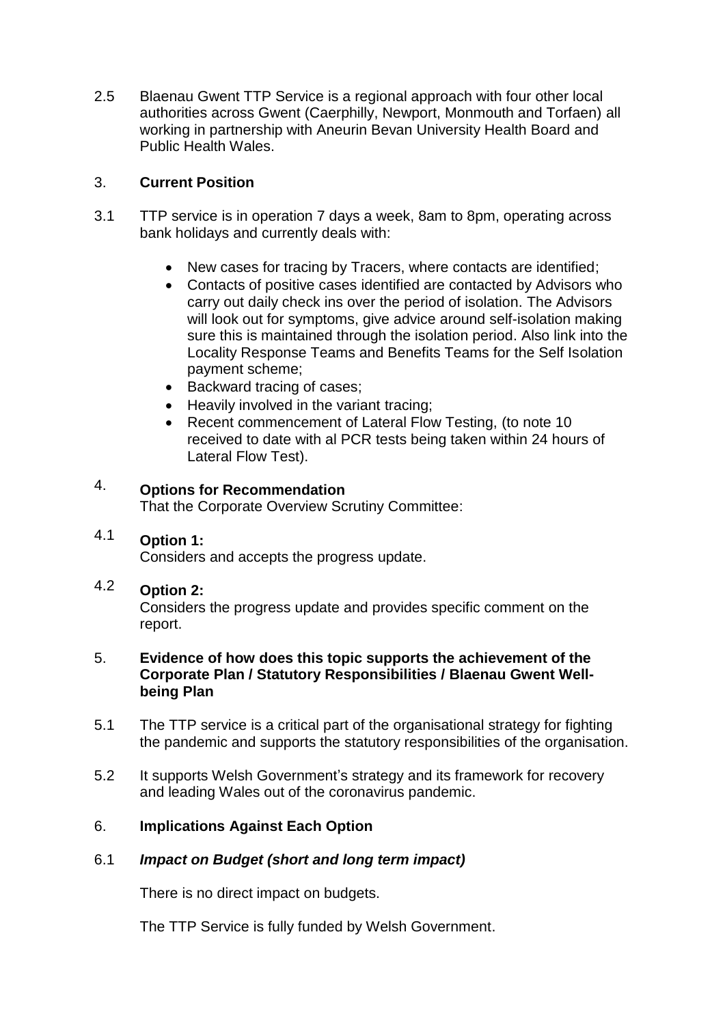2.5 Blaenau Gwent TTP Service is a regional approach with four other local authorities across Gwent (Caerphilly, Newport, Monmouth and Torfaen) all working in partnership with Aneurin Bevan University Health Board and Public Health Wales.

#### 3. **Current Position**

- 3.1 TTP service is in operation 7 days a week, 8am to 8pm, operating across bank holidays and currently deals with:
	- New cases for tracing by Tracers, where contacts are identified;
	- Contacts of positive cases identified are contacted by Advisors who carry out daily check ins over the period of isolation. The Advisors will look out for symptoms, give advice around self-isolation making sure this is maintained through the isolation period. Also link into the Locality Response Teams and Benefits Teams for the Self Isolation payment scheme;
	- Backward tracing of cases;
	- Heavily involved in the variant tracing;
	- Recent commencement of Lateral Flow Testing, (to note 10 received to date with al PCR tests being taken within 24 hours of Lateral Flow Test).

#### 4. **Options for Recommendation**

That the Corporate Overview Scrutiny Committee:

#### 4.1 **Option 1:**

Considers and accepts the progress update.

#### 4.2 **Option 2:**

Considers the progress update and provides specific comment on the report.

### 5. **Evidence of how does this topic supports the achievement of the Corporate Plan / Statutory Responsibilities / Blaenau Gwent Wellbeing Plan**

- 5.1 The TTP service is a critical part of the organisational strategy for fighting the pandemic and supports the statutory responsibilities of the organisation.
- 5.2 It supports Welsh Government's strategy and its framework for recovery and leading Wales out of the coronavirus pandemic.

## 6. **Implications Against Each Option**

## 6.1 *Impact on Budget (short and long term impact)*

There is no direct impact on budgets.

The TTP Service is fully funded by Welsh Government.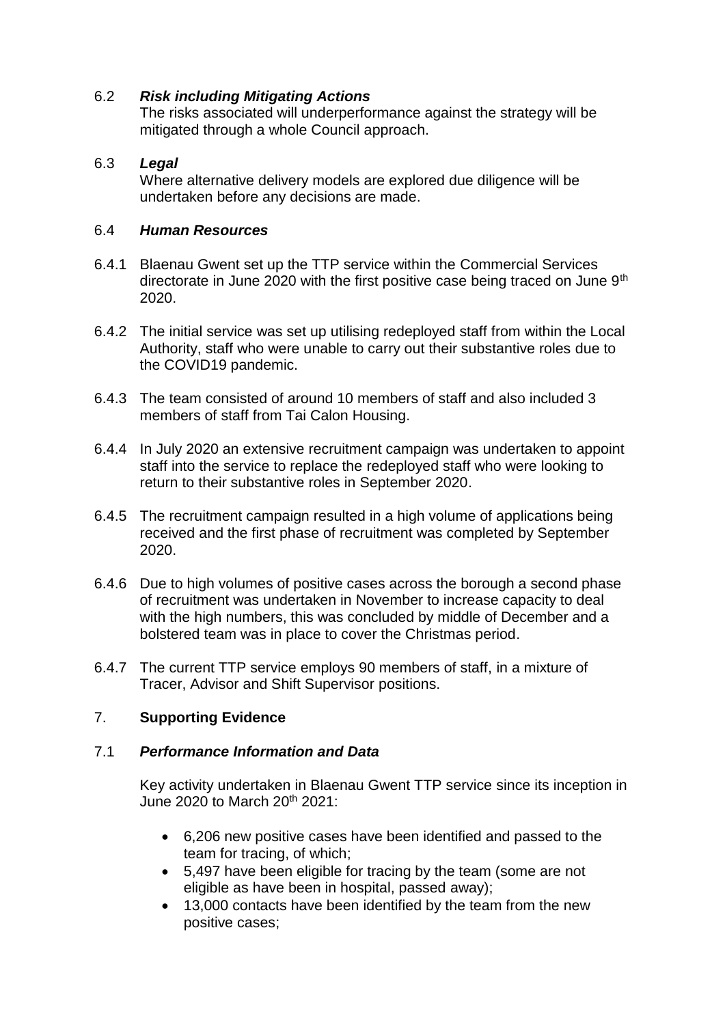# 6.2 *Risk including Mitigating Actions*

The risks associated will underperformance against the strategy will be mitigated through a whole Council approach.

## 6.3 *Legal*

Where alternative delivery models are explored due diligence will be undertaken before any decisions are made.

#### 6.4 *Human Resources*

- 6.4.1 Blaenau Gwent set up the TTP service within the Commercial Services directorate in June 2020 with the first positive case being traced on June 9<sup>th</sup> 2020.
- 6.4.2 The initial service was set up utilising redeployed staff from within the Local Authority, staff who were unable to carry out their substantive roles due to the COVID19 pandemic.
- 6.4.3 The team consisted of around 10 members of staff and also included 3 members of staff from Tai Calon Housing.
- 6.4.4 In July 2020 an extensive recruitment campaign was undertaken to appoint staff into the service to replace the redeployed staff who were looking to return to their substantive roles in September 2020.
- 6.4.5 The recruitment campaign resulted in a high volume of applications being received and the first phase of recruitment was completed by September 2020.
- 6.4.6 Due to high volumes of positive cases across the borough a second phase of recruitment was undertaken in November to increase capacity to deal with the high numbers, this was concluded by middle of December and a bolstered team was in place to cover the Christmas period.
- 6.4.7 The current TTP service employs 90 members of staff, in a mixture of Tracer, Advisor and Shift Supervisor positions.

# 7. **Supporting Evidence**

## 7.1 *Performance Information and Data*

Key activity undertaken in Blaenau Gwent TTP service since its inception in June 2020 to March 20<sup>th</sup> 2021:

- 6,206 new positive cases have been identified and passed to the team for tracing, of which;
- 5,497 have been eligible for tracing by the team (some are not eligible as have been in hospital, passed away);
- 13,000 contacts have been identified by the team from the new positive cases;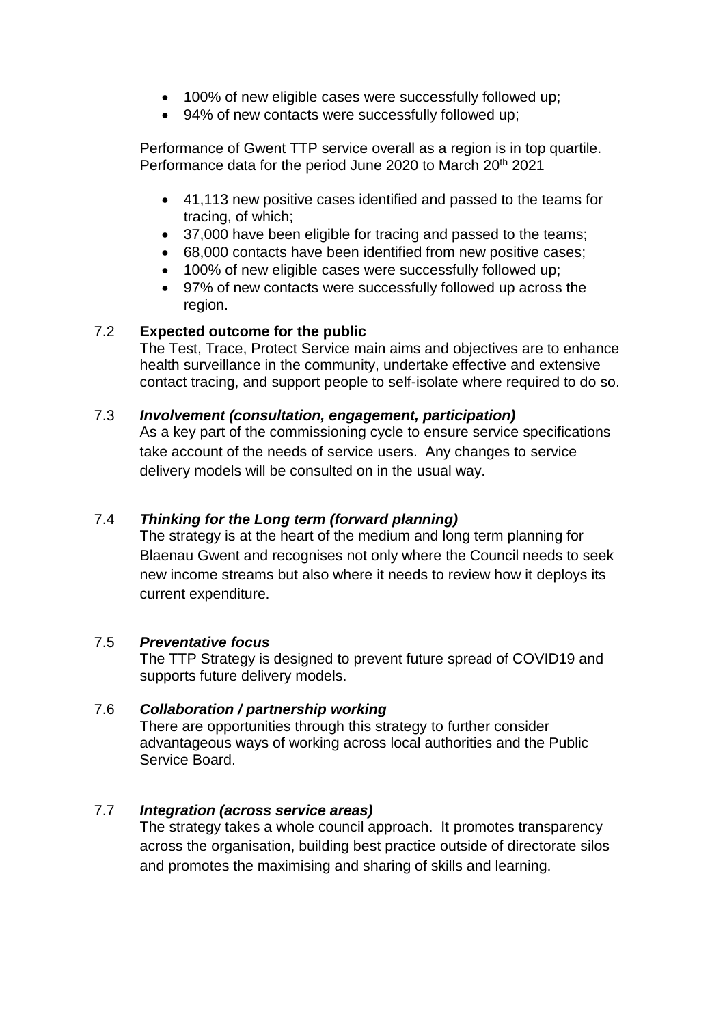- 100% of new eligible cases were successfully followed up;
- 94% of new contacts were successfully followed up;

Performance of Gwent TTP service overall as a region is in top quartile. Performance data for the period June 2020 to March 20<sup>th</sup> 2021

- 41,113 new positive cases identified and passed to the teams for tracing, of which;
- 37,000 have been eligible for tracing and passed to the teams;
- 68,000 contacts have been identified from new positive cases;
- 100% of new eligible cases were successfully followed up;
- 97% of new contacts were successfully followed up across the region.

# 7.2 **Expected outcome for the public**

The Test, Trace, Protect Service main aims and objectives are to enhance health surveillance in the community, undertake effective and extensive contact tracing, and support people to self-isolate where required to do so.

## 7.3 *Involvement (consultation, engagement, participation)*

As a key part of the commissioning cycle to ensure service specifications take account of the needs of service users. Any changes to service delivery models will be consulted on in the usual way.

# 7.4 *Thinking for the Long term (forward planning)*

The strategy is at the heart of the medium and long term planning for Blaenau Gwent and recognises not only where the Council needs to seek new income streams but also where it needs to review how it deploys its current expenditure.

## 7.5 *Preventative focus*

The TTP Strategy is designed to prevent future spread of COVID19 and supports future delivery models.

## 7.6 *Collaboration / partnership working*

There are opportunities through this strategy to further consider advantageous ways of working across local authorities and the Public Service Board.

# 7.7 *Integration (across service areas)*

The strategy takes a whole council approach. It promotes transparency across the organisation, building best practice outside of directorate silos and promotes the maximising and sharing of skills and learning.